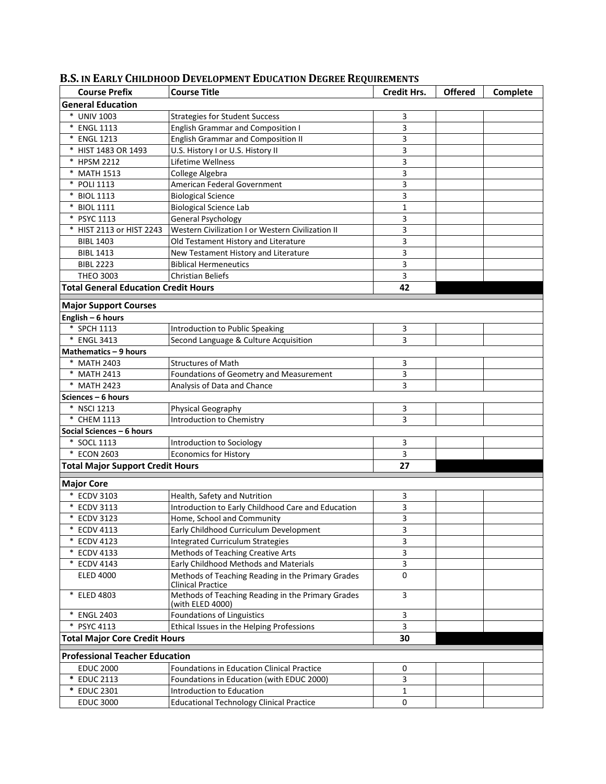| <b>Course Prefix</b>                        | <b>Course Title</b>                                                           | <b>Credit Hrs.</b> | <b>Offered</b> | Complete |
|---------------------------------------------|-------------------------------------------------------------------------------|--------------------|----------------|----------|
| <b>General Education</b>                    |                                                                               |                    |                |          |
| * UNIV 1003                                 | <b>Strategies for Student Success</b>                                         | 3                  |                |          |
| * ENGL 1113                                 | <b>English Grammar and Composition I</b>                                      | 3                  |                |          |
| * ENGL 1213                                 | <b>English Grammar and Composition II</b>                                     | 3                  |                |          |
| * HIST 1483 OR 1493                         | U.S. History I or U.S. History II                                             | 3                  |                |          |
| * HPSM 2212                                 | Lifetime Wellness                                                             | 3                  |                |          |
| * MATH 1513                                 | College Algebra                                                               | 3                  |                |          |
| * POLI 1113                                 | American Federal Government                                                   | 3                  |                |          |
| * BIOL 1113                                 | <b>Biological Science</b>                                                     | 3                  |                |          |
| * BIOL 1111                                 | <b>Biological Science Lab</b>                                                 | $\mathbf{1}$       |                |          |
| * PSYC 1113                                 | General Psychology                                                            | 3                  |                |          |
| * HIST 2113 or HIST 2243                    | Western Civilization I or Western Civilization II                             | 3                  |                |          |
| <b>BIBL 1403</b>                            | Old Testament History and Literature                                          | 3                  |                |          |
| <b>BIBL 1413</b>                            | New Testament History and Literature                                          | 3                  |                |          |
| <b>BIBL 2223</b>                            | <b>Biblical Hermeneutics</b>                                                  | 3                  |                |          |
| THEO 3003                                   | <b>Christian Beliefs</b>                                                      | 3                  |                |          |
| <b>Total General Education Credit Hours</b> |                                                                               | 42                 |                |          |
|                                             |                                                                               |                    |                |          |
| <b>Major Support Courses</b>                |                                                                               |                    |                |          |
| English - 6 hours<br>* SPCH 1113            |                                                                               |                    |                |          |
| * ENGL 3413                                 | Introduction to Public Speaking                                               | 3<br>3             |                |          |
|                                             | Second Language & Culture Acquisition                                         |                    |                |          |
| Mathematics - 9 hours                       |                                                                               |                    |                |          |
| * MATH 2403                                 | <b>Structures of Math</b>                                                     | 3                  |                |          |
| * MATH 2413                                 | Foundations of Geometry and Measurement                                       | 3                  |                |          |
| * MATH 2423                                 | Analysis of Data and Chance                                                   | 3                  |                |          |
| Sciences - 6 hours<br>* NSCI 1213           |                                                                               |                    |                |          |
| * CHEM 1113                                 | Physical Geography                                                            | 3<br>3             |                |          |
| Social Sciences - 6 hours                   | Introduction to Chemistry                                                     |                    |                |          |
| * SOCL 1113                                 | Introduction to Sociology                                                     | 3                  |                |          |
| * ECON 2603                                 | <b>Economics for History</b>                                                  | 3                  |                |          |
| <b>Total Major Support Credit Hours</b>     |                                                                               | 27                 |                |          |
|                                             |                                                                               |                    |                |          |
| <b>Major Core</b>                           |                                                                               |                    |                |          |
| * ECDV 3103                                 | Health, Safety and Nutrition                                                  | 3                  |                |          |
| * ECDV 3113                                 | Introduction to Early Childhood Care and Education                            | 3                  |                |          |
| * ECDV 3123                                 | Home, School and Community                                                    | 3                  |                |          |
| <b>ECDV 4113</b>                            | Early Childhood Curriculum Development                                        | 3                  |                |          |
| * ECDV 4123                                 | Integrated Curriculum Strategies                                              | 3                  |                |          |
| * ECDV 4133                                 | Methods of Teaching Creative Arts                                             | 3                  |                |          |
| * ECDV 4143                                 | Early Childhood Methods and Materials                                         | 3                  |                |          |
| <b>ELED 4000</b>                            | Methods of Teaching Reading in the Primary Grades<br><b>Clinical Practice</b> | $\mathbf 0$        |                |          |
| * ELED 4803                                 | Methods of Teaching Reading in the Primary Grades<br>(with ELED 4000)         | 3                  |                |          |
| * ENGL 2403                                 | Foundations of Linguistics                                                    | 3                  |                |          |
| * PSYC 4113                                 | Ethical Issues in the Helping Professions                                     | 3                  |                |          |
| <b>Total Major Core Credit Hours</b>        |                                                                               | 30                 |                |          |
| <b>Professional Teacher Education</b>       |                                                                               |                    |                |          |
| <b>EDUC 2000</b>                            | <b>Foundations in Education Clinical Practice</b>                             | 0                  |                |          |
| * EDUC 2113                                 | Foundations in Education (with EDUC 2000)                                     | 3                  |                |          |
| * EDUC 2301                                 | Introduction to Education                                                     | 1                  |                |          |
| <b>EDUC 3000</b>                            | <b>Educational Technology Clinical Practice</b>                               | 0                  |                |          |

## **B.S. IN EARLY CHILDHOOD DEVELOPMENT EDUCATION DEGREE REQUIREMENTS**